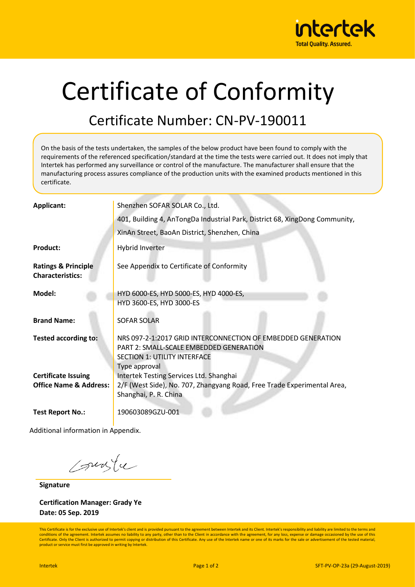

## Certificate of Conformity

## Certificate Number: CN-PV-190011

On the basis of the tests undertaken, the samples of the below product have been found to comply with the requirements of the referenced specification/standard at the time the tests were carried out. It does not imply that Intertek has performed any surveillance or control of the manufacture. The manufacturer shall ensure that the manufacturing process assures compliance of the production units with the examined products mentioned in this certificate.

| <b>Applicant:</b>                                               | Shenzhen SOFAR SOLAR Co., Ltd.                                                                                                                                  |  |  |  |  |
|-----------------------------------------------------------------|-----------------------------------------------------------------------------------------------------------------------------------------------------------------|--|--|--|--|
|                                                                 | 401, Building 4, AnTongDa Industrial Park, District 68, XingDong Community,                                                                                     |  |  |  |  |
|                                                                 | XinAn Street, BaoAn District, Shenzhen, China                                                                                                                   |  |  |  |  |
| <b>Product:</b>                                                 | Hybrid Inverter                                                                                                                                                 |  |  |  |  |
| <b>Ratings &amp; Principle</b><br><b>Characteristics:</b>       | See Appendix to Certificate of Conformity                                                                                                                       |  |  |  |  |
| Model:                                                          | HYD 6000-ES, HYD 5000-ES, HYD 4000-ES,<br>HYD 3600-ES, HYD 3000-ES                                                                                              |  |  |  |  |
| <b>Brand Name:</b>                                              | <b>SOFAR SOLAR</b>                                                                                                                                              |  |  |  |  |
| <b>Tested according to:</b>                                     | NRS 097-2-1:2017 GRID INTERCONNECTION OF EMBEDDED GENERATION<br>PART 2: SMALL-SCALE EMBEDDED GENERATION<br><b>SECTION 1: UTILITY INTERFACE</b><br>Type approval |  |  |  |  |
| <b>Certificate Issuing</b><br><b>Office Name &amp; Address:</b> | Intertek Testing Services Ltd. Shanghai<br>2/F (West Side), No. 707, Zhangyang Road, Free Trade Experimental Area,<br>Shanghai, P. R. China                     |  |  |  |  |
| <b>Test Report No.:</b>                                         | 190603089GZU-001                                                                                                                                                |  |  |  |  |

Additional information in Appendix.

suste

**Signature**

**Certification Manager: Grady Ye Date: 05 Sep. 2019**

This Certificate is for the exclusive use of Intertek's client and is provided pursuant to the agreement between Intertek and its Client. Intertek's responsibility and liability are limited to the terms and conditions of the agreement. Intertek assumes no liability to any party, other than to the Client in accordance with the agreement, for any loss, expense or damage occasioned by the use of this Certificate. Only the Client is authorized to permit copying or distribution of this Certificate. Any use of the Intertek name or one of its marks for the sale or advertisement of the tested material product or service must first be approved in writing by Intertek.